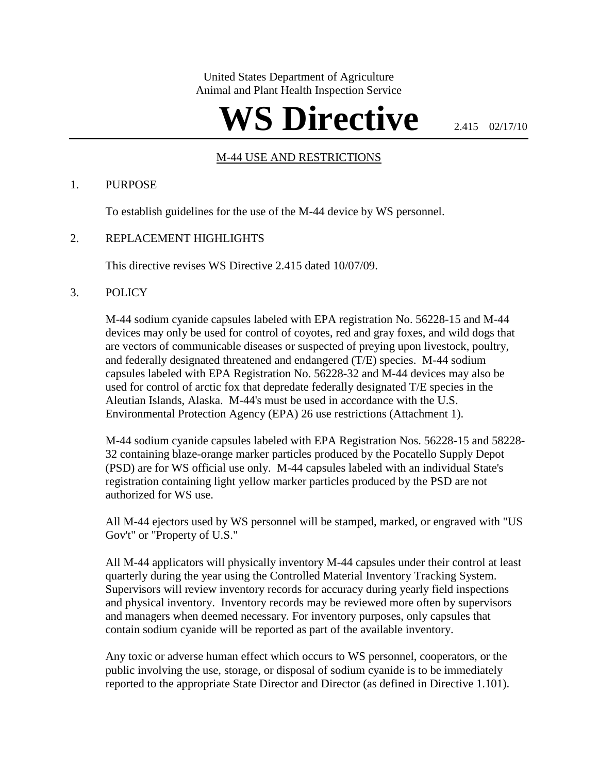United States Department of Agriculture Animal and Plant Health Inspection Service

# WS Directive **2.415 02/17/10**

## M-44 USE AND RESTRICTIONS

### 1. PURPOSE

To establish guidelines for the use of the M-44 device by WS personnel.

## 2. REPLACEMENT HIGHLIGHTS

This directive revises WS Directive 2.415 dated 10/07/09.

### 3. POLICY

M-44 sodium cyanide capsules labeled with EPA registration No. 56228-15 and M-44 devices may only be used for control of coyotes, red and gray foxes, and wild dogs that are vectors of communicable diseases or suspected of preying upon livestock, poultry, and federally designated threatened and endangered (T/E) species. M-44 sodium capsules labeled with EPA Registration No. 56228-32 and M-44 devices may also be used for control of arctic fox that depredate federally designated T/E species in the Aleutian Islands, Alaska. M-44's must be used in accordance with the U.S. Environmental Protection Agency (EPA) 26 use restrictions (Attachment 1).

M-44 sodium cyanide capsules labeled with EPA Registration Nos. 56228-15 and 58228- 32 containing blaze-orange marker particles produced by the Pocatello Supply Depot (PSD) are for WS official use only. M-44 capsules labeled with an individual State's registration containing light yellow marker particles produced by the PSD are not authorized for WS use.

All M-44 ejectors used by WS personnel will be stamped, marked, or engraved with "US Gov't" or "Property of U.S."

All M-44 applicators will physically inventory M-44 capsules under their control at least quarterly during the year using the Controlled Material Inventory Tracking System. Supervisors will review inventory records for accuracy during yearly field inspections and physical inventory. Inventory records may be reviewed more often by supervisors and managers when deemed necessary. For inventory purposes, only capsules that contain sodium cyanide will be reported as part of the available inventory.

Any toxic or adverse human effect which occurs to WS personnel, cooperators, or the public involving the use, storage, or disposal of sodium cyanide is to be immediately reported to the appropriate State Director and Director (as defined in Directive 1.101).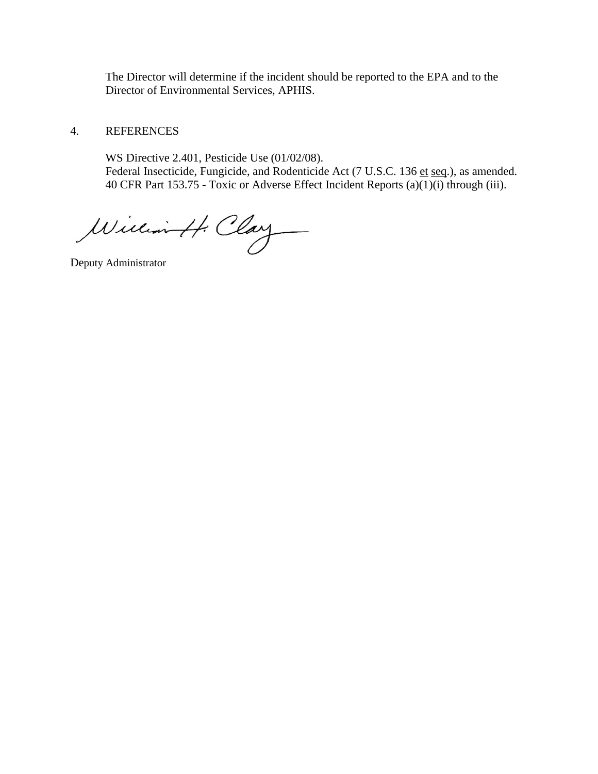The Director will determine if the incident should be reported to the EPA and to the Director of Environmental Services, APHIS.

## 4. REFERENCES

WS Directive 2.401, Pesticide Use (01/02/08). Federal Insecticide, Fungicide, and Rodenticide Act (7 U.S.C. 136 et seq.), as amended. 40 CFR Part 153.75 - Toxic or Adverse Effect Incident Reports (a)(1)(i) through (iii).

William H. Clay

Deputy Administrator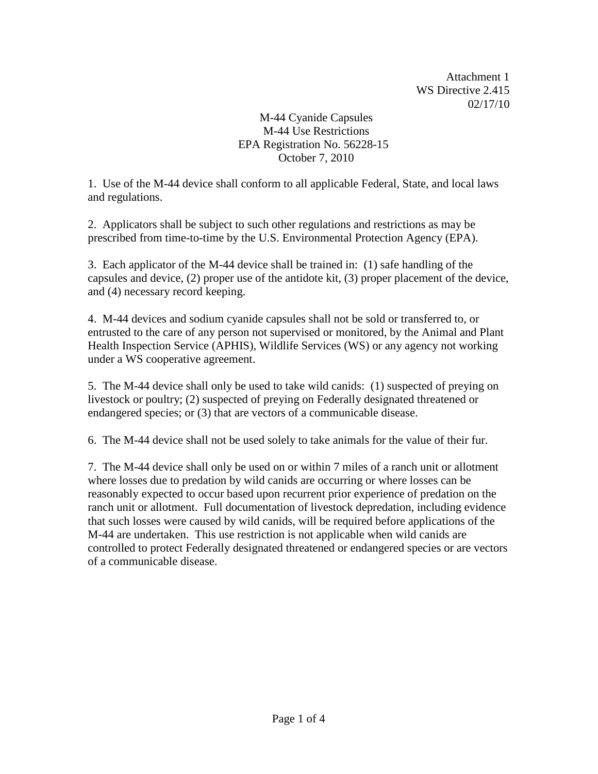Attachment 1 WS Directive 2.415 02/17/10

# M-44 Cyanide Capsules M-44 Use Restrictions EPA Registration No. 56228-15 October 7, 2010

1. Use of the M-44 device shall conform to all applicable Federal, State, and local laws and regulations.

2. Applicators shall be subject to such other regulations and restrictions as may be prescribed from time-to-time by the U.S. Environmental Protection Agency (EPA).

3. Each applicator of the M-44 device shall be trained in: (1) safe handling of the capsules and device, (2) proper use of the antidote kit, (3) proper placement of the device, and (4) necessary record keeping.

4. M-44 devices and sodium cyanide capsules shall not be sold or transferred to, or entrusted to the care of any person not supervised or monitored, by the Animal and Plant Health Inspection Service (APHIS), Wildlife Services (WS) or any agency not working under a WS cooperative agreement.

5. The M-44 device shall only be used to take wild canids: (1) suspected of preying on livestock or poultry; (2) suspected of preying on Federally designated threatened or endangered species; or (3) that are vectors of a communicable disease.

6. The M-44 device shall not be used solely to take animals for the value of their fur.

7. The M-44 device shall only be used on or within 7 miles of a ranch unit or allotment where losses due to predation by wild canids are occurring or where losses can be reasonably expected to occur based upon recurrent prior experience of predation on the ranch unit or allotment. Full documentation of livestock depredation, including evidence that such losses were caused by wild canids, will be required before applications of the M-44 are undertaken. This use restriction is not applicable when wild canids are controlled to protect Federally designated threatened or endangered species or are vectors of a communicable disease.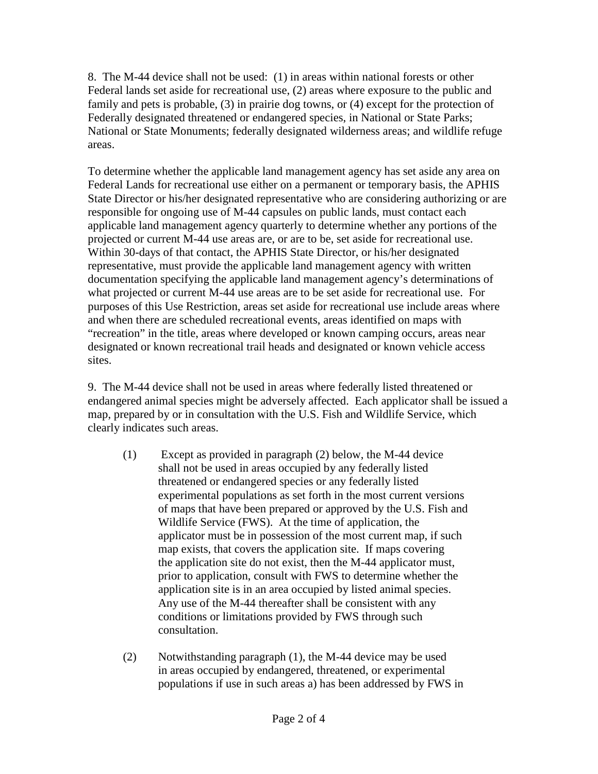8. The M-44 device shall not be used: (1) in areas within national forests or other Federal lands set aside for recreational use, (2) areas where exposure to the public and family and pets is probable, (3) in prairie dog towns, or (4) except for the protection of Federally designated threatened or endangered species, in National or State Parks; National or State Monuments; federally designated wilderness areas; and wildlife refuge areas.

To determine whether the applicable land management agency has set aside any area on Federal Lands for recreational use either on a permanent or temporary basis, the APHIS State Director or his/her designated representative who are considering authorizing or are responsible for ongoing use of M-44 capsules on public lands, must contact each applicable land management agency quarterly to determine whether any portions of the projected or current M-44 use areas are, or are to be, set aside for recreational use. Within 30-days of that contact, the APHIS State Director, or his/her designated representative, must provide the applicable land management agency with written documentation specifying the applicable land management agency's determinations of what projected or current M-44 use areas are to be set aside for recreational use. For purposes of this Use Restriction, areas set aside for recreational use include areas where and when there are scheduled recreational events, areas identified on maps with "recreation" in the title, areas where developed or known camping occurs, areas near designated or known recreational trail heads and designated or known vehicle access sites.

9. The M-44 device shall not be used in areas where federally listed threatened or endangered animal species might be adversely affected. Each applicator shall be issued a map, prepared by or in consultation with the U.S. Fish and Wildlife Service, which clearly indicates such areas.

- (1) Except as provided in paragraph (2) below, the M-44 device shall not be used in areas occupied by any federally listed threatened or endangered species or any federally listed experimental populations as set forth in the most current versions of maps that have been prepared or approved by the U.S. Fish and Wildlife Service (FWS). At the time of application, the applicator must be in possession of the most current map, if such map exists, that covers the application site. If maps covering the application site do not exist, then the M-44 applicator must, prior to application, consult with FWS to determine whether the application site is in an area occupied by listed animal species. Any use of the M-44 thereafter shall be consistent with any conditions or limitations provided by FWS through such consultation.
- (2) Notwithstanding paragraph (1), the M-44 device may be used in areas occupied by endangered, threatened, or experimental populations if use in such areas a) has been addressed by FWS in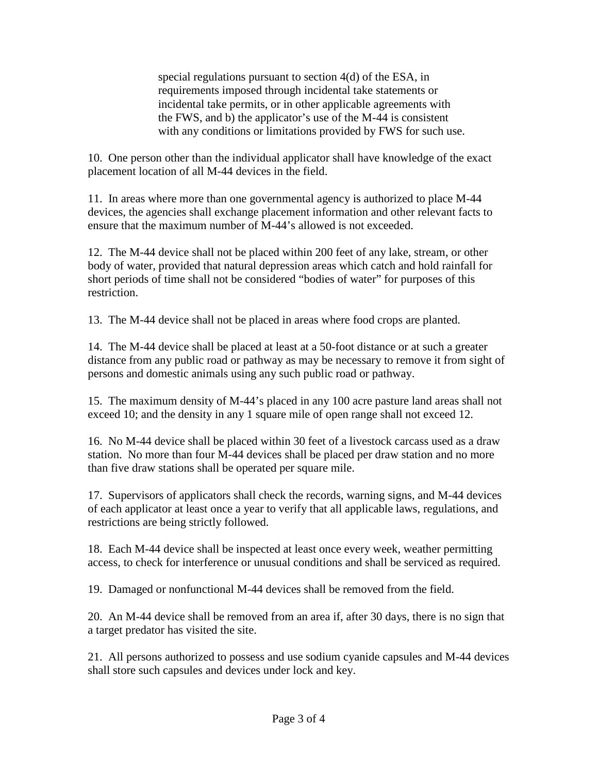special regulations pursuant to section 4(d) of the ESA, in requirements imposed through incidental take statements or incidental take permits, or in other applicable agreements with the FWS, and b) the applicator's use of the M-44 is consistent with any conditions or limitations provided by FWS for such use.

10. One person other than the individual applicator shall have knowledge of the exact placement location of all M-44 devices in the field.

11. In areas where more than one governmental agency is authorized to place M-44 devices, the agencies shall exchange placement information and other relevant facts to ensure that the maximum number of M-44's allowed is not exceeded.

12. The M-44 device shall not be placed within 200 feet of any lake, stream, or other body of water, provided that natural depression areas which catch and hold rainfall for short periods of time shall not be considered "bodies of water" for purposes of this restriction.

13. The M-44 device shall not be placed in areas where food crops are planted.

14. The M-44 device shall be placed at least at a 50-foot distance or at such a greater distance from any public road or pathway as may be necessary to remove it from sight of persons and domestic animals using any such public road or pathway.

15. The maximum density of M-44's placed in any 100 acre pasture land areas shall not exceed 10; and the density in any 1 square mile of open range shall not exceed 12.

16. No M-44 device shall be placed within 30 feet of a livestock carcass used as a draw station. No more than four M-44 devices shall be placed per draw station and no more than five draw stations shall be operated per square mile.

17. Supervisors of applicators shall check the records, warning signs, and M-44 devices of each applicator at least once a year to verify that all applicable laws, regulations, and restrictions are being strictly followed.

18. Each M-44 device shall be inspected at least once every week, weather permitting access, to check for interference or unusual conditions and shall be serviced as required.

19. Damaged or nonfunctional M-44 devices shall be removed from the field.

20. An M-44 device shall be removed from an area if, after 30 days, there is no sign that a target predator has visited the site.

21. All persons authorized to possess and use sodium cyanide capsules and M-44 devices shall store such capsules and devices under lock and key.